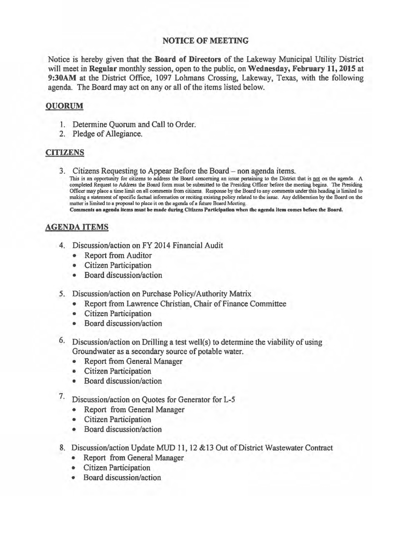## NOTICE OF MEETING

Notice is hereby given that the Board of Directors of the Lakeway Municipal Utility District will meet in Regular monthly session, open to the public, on Wednesday, February 11, 2015 at 9:30AM at the District Office, 1097 Lohmans Crossing, Lakeway, Texas, with the following agenda. The Board may act on any or all of the items listed below.

## QUORUM

- I. Determine Quorum and Call to Order.
- 2. Pledge of Allegiance.

## **CITIZENS**

3. Citizens Requesting to Appear Before the Board- non agenda items.

This is an opportunity for citizens to address the Board concerning an issue pertaining to the District that is not on the agenda. A completed Request to Address the Board form must be submitted to the Presiding Officer before the meeting begins. The Presiding Officer may place a time limit on all comments from citizens. Response by the Board to any comments under this heading is limited to making a statement of specific factual information or reciting existing policy related to the issue. Any deliberation by the Board on the matter is limited to a proposal to place it on the agenda of a future Board Meeting.

Comments on agenda items must be made during Citizens Participation when the agenda item comes before the Board.

## AGENDA ITEMS

- 4. Discussion/action on FY 2014 Financial Audit
	- Report from Auditor
	- Citizen Participation
	- Board discussion/action
- *5.* Discussion/action on Purchase Policy/Authority Matrix
	- Report from Lawrence Christian, Chair of Finance Committee
	- Citizen Participation
	- Board discussion/action
- 6. Discussion/action on Drilling a test well(s) to determine the viability of using Groundwater as a secondary source of potable water.
	- Report from General Manager
	- Citizen Participation
	- Board discussion/action
- *1·* Discussion/action on Quotes for Generator for L-5
	- Report from General Manager
	- Citizen Participation
	- Board discussion/action
- 8. Discussion/action Update MUD 11, 12 & 13 Out of District Wastewater Contract
	- Report from General Manager
	- Citizen Participation
	- Board discussion/action